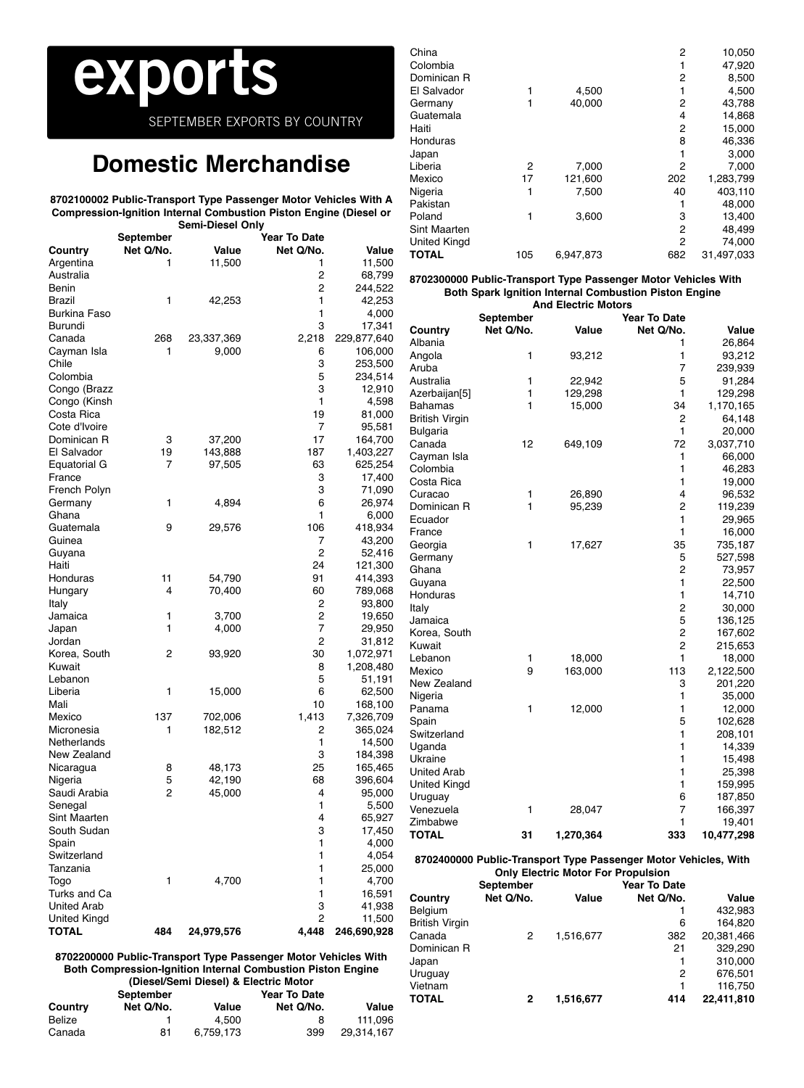# **exports**

SEPTEMBER EXPORTS BY COUNTRY

# **Domestic Merchandise**

#### **8702100002 Public-Transport Type Passenger Motor Vehicles With A Compression-Ignition Internal Combustion Piston Engine (Diesel or Semi-Diesel Only**

|                     |           | Semi-Diesel Only |                     |             |
|---------------------|-----------|------------------|---------------------|-------------|
|                     | September |                  | <b>Year To Date</b> |             |
| Country             | Net Q/No. | Value            | Net Q/No.           | Value       |
| Argentina           | 1         | 11,500           | 1                   | 11,500      |
| Australia           |           |                  | 2                   | 68,799      |
| Benin               |           |                  | 2                   | 244,522     |
| Brazil              | 1         | 42,253           | 1                   | 42,253      |
| Burkina Faso        |           |                  | 1                   | 4,000       |
| Burundi             |           |                  | 3                   | 17,341      |
|                     |           |                  |                     |             |
| Canada              | 268       | 23,337,369       | 2,218               | 229,877,640 |
| Cayman Isla         | 1         | 9,000            | 6                   | 106,000     |
| Chile               |           |                  | 3                   | 253,500     |
| Colombia            |           |                  | 5                   | 234,514     |
| Congo (Brazz        |           |                  | 3                   | 12,910      |
| Congo (Kinsh        |           |                  | 1                   | 4,598       |
| Costa Rica          |           |                  | 19                  | 81,000      |
| Cote d'Ivoire       |           |                  | 7                   | 95,581      |
| Dominican R         | 3         | 37,200           | 17                  | 164,700     |
| El Salvador         | 19        | 143,888          | 187                 | 1,403,227   |
| Equatorial G        | 7         | 97,505           | 63                  | 625,254     |
| France              |           |                  | 3                   | 17,400      |
| French Polyn        |           |                  | 3                   | 71,090      |
|                     | 1         |                  |                     |             |
| Germany             |           | 4,894            | 6                   | 26,974      |
| Ghana               |           |                  | 1                   | 6,000       |
| Guatemala           | 9         | 29,576           | 106                 | 418,934     |
| Guinea              |           |                  | 7                   | 43,200      |
| Guyana              |           |                  | $\overline{c}$      | 52,416      |
| Haiti               |           |                  | 24                  | 121,300     |
| Honduras            | 11        | 54,790           | 91                  | 414,393     |
| Hungary             | 4         | 70,400           | 60                  | 789,068     |
| Italy               |           |                  | 2                   | 93,800      |
| Jamaica             | 1         | 3,700            | 2                   | 19,650      |
| Japan               | 1         | 4,000            | 7                   | 29,950      |
| Jordan              |           |                  | 2                   | 31,812      |
| Korea, South        | 2         | 93,920           | 30                  | 1,072,971   |
| Kuwait              |           |                  | 8                   | 1,208,480   |
| Lebanon             |           |                  | 5                   | 51,191      |
|                     |           |                  |                     |             |
| Liberia             | 1         | 15,000           | 6                   | 62,500      |
| Mali                |           |                  | 10                  | 168,100     |
| Mexico              | 137       | 702,006          | 1,413               | 7,326,709   |
| Micronesia          | 1         | 182,512          | 2                   | 365,024     |
| Netherlands         |           |                  | 1                   | 14,500      |
| New Zealand         |           |                  | 3                   | 184,398     |
| Nicaragua           | 8         | 48,173           | 25                  | 165,465     |
| Nigeria             | 5         | 42,190           | 68                  | 396,604     |
| Saudi Arabia        | 2         | 45,000           | 4                   | 95,000      |
| Senegal             |           |                  | 1                   | 5,500       |
| Sint Maarten        |           |                  | 4                   | 65,927      |
| South Sudan         |           |                  | 3                   | 17,450      |
| Spain               |           |                  | 1                   | 4,000       |
| Switzerland         |           |                  | 1                   | 4,054       |
| Tanzania            |           |                  | 1                   | 25,000      |
| Togo                | 1         | 4,700            | 1                   |             |
| Turks and Ca        |           |                  |                     | 4,700       |
|                     |           |                  | 1                   | 16,591      |
| <b>United Arab</b>  |           |                  | 3                   | 41,938      |
| <b>United Kingd</b> |           |                  | 2                   | 11,500      |
| <b>TOTAL</b>        | 484       | 24,979,576       | 4,448               | 246,690,928 |

| China               |     |           | 2   | 10,050     |
|---------------------|-----|-----------|-----|------------|
| Colombia            |     |           |     | 47,920     |
| Dominican R         |     |           | 2   | 8,500      |
| El Salvador         |     | 4,500     |     | 4,500      |
| Germany             | 1   | 40.000    | 2   | 43,788     |
| Guatemala           |     |           | 4   | 14,868     |
| Haiti               |     |           | 2   | 15,000     |
| Honduras            |     |           | 8   | 46,336     |
| Japan               |     |           |     | 3,000      |
| Liberia             | 2   | 7,000     | 2   | 7,000      |
| Mexico              | 17  | 121.600   | 202 | 1,283,799  |
| Nigeria             | 1   | 7.500     | 40  | 403,110    |
| Pakistan            |     |           |     | 48,000     |
| Poland              | 1   | 3,600     | 3   | 13,400     |
| <b>Sint Maarten</b> |     |           | 2   | 48,499     |
| <b>United Kingd</b> |     |           | 2   | 74,000     |
| TOTAL               | 105 | 6.947.873 | 682 | 31,497,033 |
|                     |     |           |     |            |

### **8702300000 Public-Transport Type Passenger Motor Vehicles With Both Spark Ignition Internal Combustion Piston Engine And Electric Motors**

|                    | <b>September</b> |           | <b>Year To Date</b> |            |
|--------------------|------------------|-----------|---------------------|------------|
| Country            | Net Q/No.        | Value     | Net Q/No.           | Value      |
| Albania            |                  |           | 1                   | 26,864     |
| Angola             | 1                | 93,212    | 1                   | 93,212     |
| Aruba              |                  |           | $\overline{7}$      | 239,939    |
| Australia          | 1                | 22,942    | 5                   | 91,284     |
| Azerbaijan[5]      | 1                | 129,298   | 1                   | 129,298    |
| Bahamas            | 1                | 15,000    | 34                  | 1,170,165  |
| British Virgin     |                  |           | 2                   | 64,148     |
| Bulgaria           |                  |           | $\mathbf{1}$        | 20,000     |
| Canada             | 12               | 649,109   | 72                  | 3,037,710  |
| Cayman Isla        |                  |           | 1                   | 66,000     |
| Colombia           |                  |           | 1                   | 46,283     |
| Costa Rica         |                  |           | 1                   | 19,000     |
| Curacao            | 1                | 26,890    | 4                   | 96,532     |
| Dominican R        | 1                | 95,239    | 2                   | 119,239    |
| Ecuador            |                  |           | $\mathbf{1}$        | 29,965     |
| France             |                  |           | 1                   | 16,000     |
| Georgia            | 1                | 17,627    | 35                  | 735,187    |
| Germany            |                  |           | 5                   | 527,598    |
| Ghana              |                  |           | 2                   | 73,957     |
| Guyana             |                  |           | $\mathbf{1}$        | 22,500     |
| Honduras           |                  |           | 1                   | 14,710     |
| Italy              |                  |           | $\overline{2}$      | 30,000     |
| Jamaica            |                  |           | 5                   | 136,125    |
| Korea, South       |                  |           | 2                   | 167,602    |
| Kuwait             |                  |           | 2                   | 215,653    |
| Lebanon            | 1                | 18,000    | 1                   | 18,000     |
| Mexico             | 9                | 163,000   | 113                 | 2,122,500  |
| New Zealand        |                  |           | 3                   | 201,220    |
| Nigeria            |                  |           | 1                   | 35,000     |
| Panama             | 1                | 12,000    | 1                   | 12,000     |
| Spain              |                  |           | 5                   | 102,628    |
| Switzerland        |                  |           | 1                   | 208,101    |
| Uganda             |                  |           | 1                   | 14,339     |
| Ukraine            |                  |           | 1                   | 15,498     |
| <b>United Arab</b> |                  |           | $\mathbf{1}$        | 25,398     |
| United Kingd       |                  |           | 1                   | 159,995    |
| Uruguay            |                  |           | 6                   | 187,850    |
| Venezuela          | 1                | 28,047    | 7                   | 166,397    |
| Zimbabwe           |                  |           | 1                   | 19,401     |
| <b>TOTAL</b>       | 31               | 1,270,364 | 333                 | 10,477,298 |

### **8702400000 Public-Transport Type Passenger Motor Vehicles, With Only Electric Motor For Propulsion**

|                | September |           | <b>Year To Date</b> |            |
|----------------|-----------|-----------|---------------------|------------|
| Country        | Net Q/No. | Value     | Net Q/No.           | Value      |
| Belgium        |           |           |                     | 432,983    |
| British Virgin |           |           | 6                   | 164,820    |
| Canada         | 2         | 1,516,677 | 382                 | 20,381,466 |
| Dominican R    |           |           | 21                  | 329,290    |
| Japan          |           |           |                     | 310,000    |
| Uruguay        |           |           | 2                   | 676,501    |
| Vietnam        |           |           | 1                   | 116,750    |
| TOTAL          | 2         | 1,516,677 | 414                 | 22,411,810 |

**8702200000 Public-Transport Type Passenger Motor Vehicles With Both Compression-Ignition Internal Combustion Piston Engine (Diesel/Semi Diesel) & Electric Motor**

|         | September | <b>Year To Date</b> |           |            |  |
|---------|-----------|---------------------|-----------|------------|--|
| Countrv | Net Q/No. | Value               | Net Q/No. | Value      |  |
| Belize  |           | 4.500               | 8         | 111.096    |  |
| Canada  | 81        | 6.759.173           | 399       | 29.314.167 |  |
|         |           |                     |           |            |  |